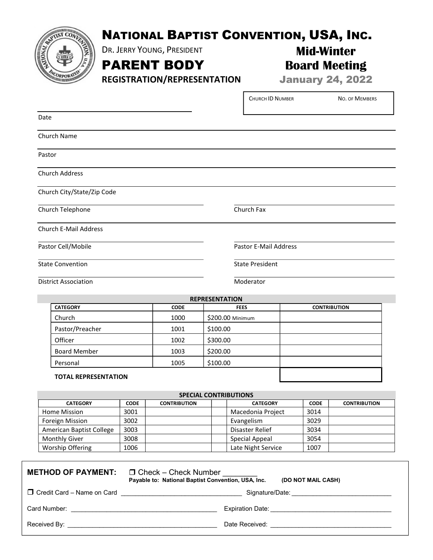

## NATIONAL BAPTIST CONVENTION, USA, INC.

Г

DR. JERRY YOUNG, PRESIDENT

PARENT BODY

REGISTRATION/REPRESENTATION

Board Meeting January 24, 2022

Mid-Winter

|                              | <b>CHURCH ID NUMBER</b> | NO. OF MEMBERS |
|------------------------------|-------------------------|----------------|
| Date                         |                         |                |
| Church Name                  |                         |                |
| Pastor                       |                         |                |
| <b>Church Address</b>        |                         |                |
| Church City/State/Zip Code   |                         |                |
| Church Telephone             | Church Fax              |                |
| <b>Church E-Mail Address</b> |                         |                |
| Pastor Cell/Mobile           | Pastor E-Mail Address   |                |
| <b>State Convention</b>      | <b>State President</b>  |                |
| <b>District Association</b>  | Moderator               |                |

REPRESENTATION CATEGORY CODE FEES CONTRIBUTION Church 1000 \$200.00 Minimum Pastor/Preacher 1001 | \$100.00 Officer 1002 \$300.00 Board Member 1003 \$200.00 Personal 1005 \$100.00

## TOTAL REPRESENTATION

| <b>SPECIAL CONTRIBUTIONS</b> |             |                     |                    |             |                     |  |  |
|------------------------------|-------------|---------------------|--------------------|-------------|---------------------|--|--|
| <b>CATEGORY</b>              | <b>CODE</b> | <b>CONTRIBUTION</b> | <b>CATEGORY</b>    | <b>CODE</b> | <b>CONTRIBUTION</b> |  |  |
| Home Mission                 | 3001        |                     | Macedonia Project  | 3014        |                     |  |  |
| Foreign Mission              | 3002        |                     | Evangelism         | 3029        |                     |  |  |
| American Baptist College     | 3003        |                     | Disaster Relief    | 3034        |                     |  |  |
| <b>Monthly Giver</b>         | 3008        |                     | Special Appeal     | 3054        |                     |  |  |
| Worship Offering             | 1006        |                     | Late Night Service | 1007        |                     |  |  |

| <b>METHOD OF PAYMENT:</b> $\Box$ Check – Check Number | Payable to: National Baptist Convention, USA, Inc.<br>(DO NOT MAIL CASH) |
|-------------------------------------------------------|--------------------------------------------------------------------------|
| $\Box$ Credit Card – Name on Card                     |                                                                          |
| Card Number: William Card Number:                     |                                                                          |
|                                                       | Date Received: <b>Example 2018</b>                                       |